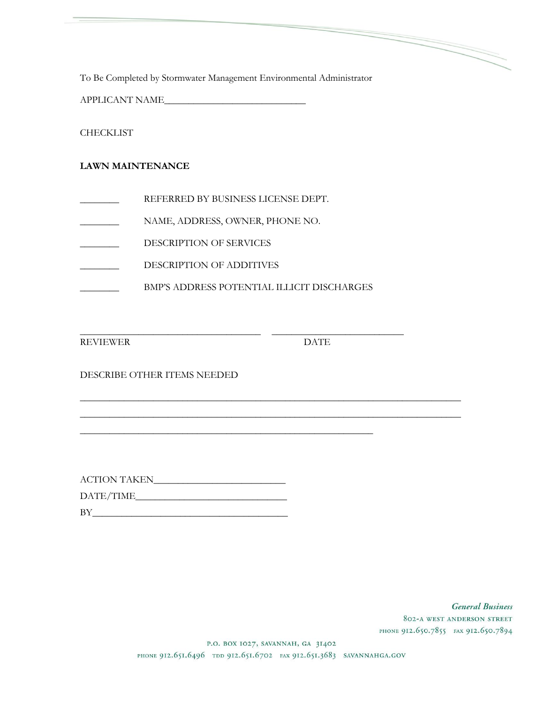To Be Completed by Stormwater Management Environmental Administrator

APPLICANT NAME\_\_\_\_\_\_\_\_\_\_\_\_\_\_\_\_\_\_\_\_\_\_\_\_\_\_\_\_\_

**CHECKLIST** 

## **LAWN MAINTENANCE**

- REFERRED BY BUSINESS LICENSE DEPT.
- NAME, ADDRESS, OWNER, PHONE NO.
- \_\_\_\_\_\_\_\_ DESCRIPTION OF SERVICES
- \_\_\_\_\_\_\_\_ DESCRIPTION OF ADDITIVES
- BMP'S ADDRESS POTENTIAL ILLICIT DISCHARGES

\_\_\_\_\_\_\_\_\_\_\_\_\_\_\_\_\_\_\_\_\_\_\_\_\_\_\_\_\_\_\_\_\_\_\_\_\_\_\_\_\_\_\_\_\_\_\_\_\_\_\_\_\_\_\_\_\_\_\_\_

REVIEWER DATE

\_\_\_\_\_\_\_\_\_\_\_\_\_\_\_\_\_\_\_\_\_\_\_\_\_\_\_\_\_\_\_\_\_\_\_\_\_ \_\_\_\_\_\_\_\_\_\_\_\_\_\_\_\_\_\_\_\_\_\_\_\_\_\_\_

DESCRIBE OTHER ITEMS NEEDED

| <b>ACTION TAKEN</b> |
|---------------------|
| DATE/TIME           |
| BY                  |

**General Business** 802-A WEST ANDERSON STREET PHONE 912.650.7855 FAX 912.650.7894

P.O. BOX 1027, SAVANNAH, GA 31402 PHONE 912.651.6496 TDD 912.651.6702 FAX 912.651.3683 SAVANNAHGA.GOV

\_\_\_\_\_\_\_\_\_\_\_\_\_\_\_\_\_\_\_\_\_\_\_\_\_\_\_\_\_\_\_\_\_\_\_\_\_\_\_\_\_\_\_\_\_\_\_\_\_\_\_\_\_\_\_\_\_\_\_\_\_\_\_\_\_\_\_\_\_\_\_\_\_\_\_\_\_\_ \_\_\_\_\_\_\_\_\_\_\_\_\_\_\_\_\_\_\_\_\_\_\_\_\_\_\_\_\_\_\_\_\_\_\_\_\_\_\_\_\_\_\_\_\_\_\_\_\_\_\_\_\_\_\_\_\_\_\_\_\_\_\_\_\_\_\_\_\_\_\_\_\_\_\_\_\_\_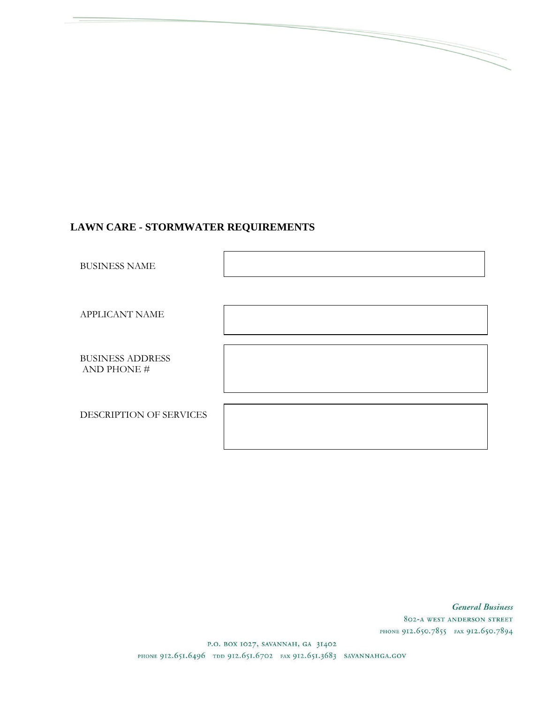# LAWN CARE - STORMWATER REQUIREMENTS

BUSINESS NAME

APPLICANT NAME

BUSINESS ADDRESS AND PHONE #

DESCRIPTION OF SERVICES

**General Business** 802-A WEST ANDERSON STREET PHONE 912.650.7855 FAX 912.650.7894

P.O. BOX 1027, SAVANNAH, GA 31402 PHONE 912.651.6496 TDD 912.651.6702 FAX 912.651.3683 SAVANNAHGA.GOV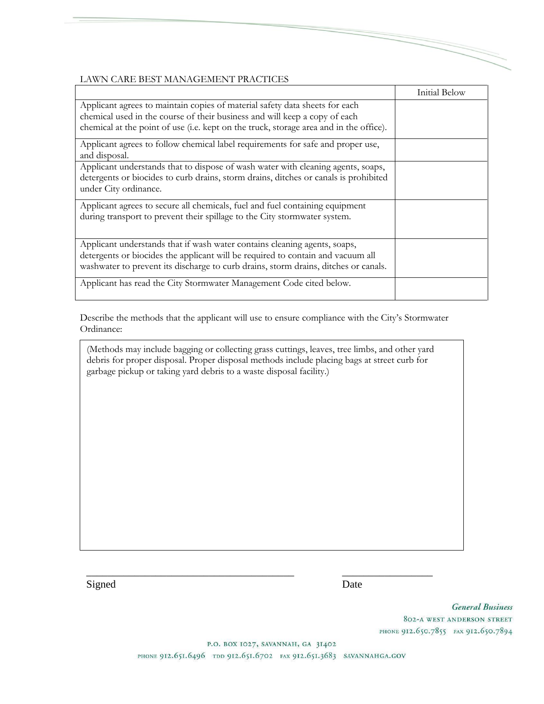## LAWN CARE BEST MANAGEMENT PRACTICES

|                                                                                                                                                                                                                                                     | Initial Below |
|-----------------------------------------------------------------------------------------------------------------------------------------------------------------------------------------------------------------------------------------------------|---------------|
| Applicant agrees to maintain copies of material safety data sheets for each<br>chemical used in the course of their business and will keep a copy of each<br>chemical at the point of use (i.e. kept on the truck, storage area and in the office). |               |
| Applicant agrees to follow chemical label requirements for safe and proper use,<br>and disposal.                                                                                                                                                    |               |
| Applicant understands that to dispose of wash water with cleaning agents, soaps,<br>detergents or biocides to curb drains, storm drains, ditches or canals is prohibited<br>under City ordinance.                                                   |               |
| Applicant agrees to secure all chemicals, fuel and fuel containing equipment<br>during transport to prevent their spillage to the City stormwater system.                                                                                           |               |
| Applicant understands that if wash water contains cleaning agents, soaps,<br>detergents or biocides the applicant will be required to contain and vacuum all<br>washwater to prevent its discharge to curb drains, storm drains, ditches or canals. |               |
| Applicant has read the City Stormwater Management Code cited below.                                                                                                                                                                                 |               |

Describe the methods that the applicant will use to ensure compliance with the City's Stormwater Ordinance:

(Methods may include bagging or collecting grass cuttings, leaves, tree limbs, and other yard debris for proper disposal. Proper disposal methods include placing bags at street curb for garbage pickup or taking yard debris to a waste disposal facility.)

Signed Date

**General Business** 802-A WEST ANDERSON STREET PHONE 912.650.7855 FAX 912.650.7894

P.O. BOX 1027, SAVANNAH, GA 31402

PHONE 912.651.6496 TDD 912.651.6702 FAX 912.651.3683 SAVANNAHGA.GOV

\_\_\_\_\_\_\_\_\_\_\_\_\_\_\_\_\_\_\_\_\_\_\_\_\_\_\_\_\_\_\_\_\_\_\_\_\_\_\_ \_\_\_\_\_\_\_\_\_\_\_\_\_\_\_\_\_